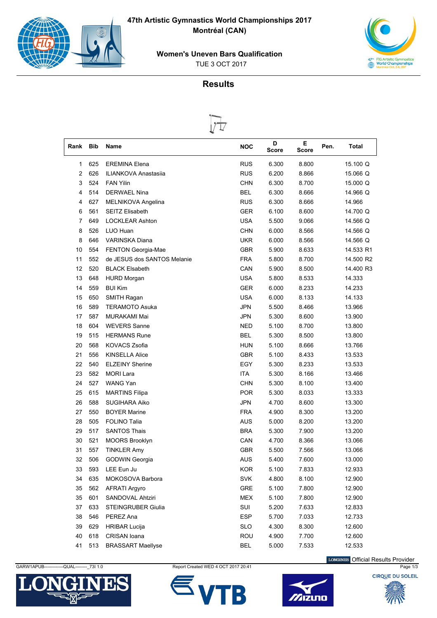

**47th Artistic Gymnastics World Championships 2017 Montréal (CAN)**





## **Results**



| Rank | Bib | <b>Name</b>                 | <b>NOC</b> | D<br>Score | Е<br><b>Score</b> | Pen. | Total     |
|------|-----|-----------------------------|------------|------------|-------------------|------|-----------|
| 1    | 625 | <b>EREMINA Elena</b>        | <b>RUS</b> | 6.300      | 8.800             |      | 15.100 Q  |
| 2    | 626 | <b>ILIANKOVA Anastasiia</b> | <b>RUS</b> | 6.200      | 8.866             |      | 15.066 Q  |
| 3    | 524 | <b>FAN Yilin</b>            | <b>CHN</b> | 6.300      | 8.700             |      | 15,000 Q  |
| 4    | 514 | <b>DERWAEL Nina</b>         | <b>BEL</b> | 6.300      | 8.666             |      | 14.966 Q  |
| 4    | 627 | MELNIKOVA Angelina          | <b>RUS</b> | 6.300      | 8.666             |      | 14.966    |
| 6    | 561 | <b>SEITZ Elisabeth</b>      | <b>GER</b> | 6.100      | 8.600             |      | 14.700 Q  |
| 7    | 649 | <b>LOCKLEAR Ashton</b>      | <b>USA</b> | 5.500      | 9.066             |      | 14.566 Q  |
| 8    | 526 | LUO Huan                    | <b>CHN</b> | 6.000      | 8.566             |      | 14.566 Q  |
| 8    | 646 | <b>VARINSKA Diana</b>       | <b>UKR</b> | 6.000      | 8.566             |      | 14.566 Q  |
| 10   | 554 | <b>FENTON Georgia-Mae</b>   | <b>GBR</b> | 5.900      | 8.633             |      | 14.533 R1 |
| 11   | 552 | de JESUS dos SANTOS Melanie | <b>FRA</b> | 5.800      | 8.700             |      | 14.500 R2 |
| 12   | 520 | <b>BLACK Elsabeth</b>       | CAN        | 5.900      | 8.500             |      | 14.400 R3 |
| 13   | 648 | <b>HURD Morgan</b>          | <b>USA</b> | 5.800      | 8.533             |      | 14.333    |
| 14   | 559 | <b>BUI Kim</b>              | <b>GER</b> | 6.000      | 8.233             |      | 14.233    |
| 15   | 650 | SMITH Ragan                 | <b>USA</b> | 6.000      | 8.133             |      | 14.133    |
| 16   | 589 | <b>TERAMOTO Asuka</b>       | <b>JPN</b> | 5.500      | 8.466             |      | 13.966    |
| 17   | 587 | MURAKAMI Mai                | <b>JPN</b> | 5.300      | 8.600             |      | 13.900    |
| 18   | 604 | <b>WEVERS Sanne</b>         | NED        | 5.100      | 8.700             |      | 13.800    |
| 19   | 515 | <b>HERMANS Rune</b>         | <b>BEL</b> | 5.300      | 8.500             |      | 13.800    |
| 20   | 568 | <b>KOVACS Zsofia</b>        | <b>HUN</b> | 5.100      | 8.666             |      | 13.766    |
| 21   | 556 | <b>KINSELLA Alice</b>       | <b>GBR</b> | 5.100      | 8.433             |      | 13.533    |
| 22   | 540 | <b>ELZEINY Sherine</b>      | EGY        | 5.300      | 8.233             |      | 13.533    |
| 23   | 582 | <b>MORI Lara</b>            | <b>ITA</b> | 5.300      | 8.166             |      | 13.466    |
| 24   | 527 | WANG Yan                    | <b>CHN</b> | 5.300      | 8.100             |      | 13.400    |
| 25   | 615 | <b>MARTINS Filipa</b>       | <b>POR</b> | 5.300      | 8.033             |      | 13.333    |
| 26   | 588 | <b>SUGIHARA Aiko</b>        | <b>JPN</b> | 4.700      | 8.600             |      | 13.300    |
| 27   | 550 | <b>BOYER Marine</b>         | <b>FRA</b> | 4.900      | 8.300             |      | 13.200    |
| 28   | 505 | <b>FOLINO Talia</b>         | <b>AUS</b> | 5.000      | 8.200             |      | 13.200    |
| 29   | 517 | <b>SANTOS Thais</b>         | <b>BRA</b> | 5.300      | 7.900             |      | 13.200    |
| 30   | 521 | <b>MOORS Brooklyn</b>       | CAN        | 4.700      | 8.366             |      | 13.066    |
| 31   | 557 | <b>TINKLER Amy</b>          | GBR        | 5.500      | 7.566             |      | 13.066    |
| 32   | 506 | <b>GODWIN Georgia</b>       | <b>AUS</b> | 5.400      | 7.600             |      | 13.000    |
| 33   | 593 | LEE Eun Ju                  | <b>KOR</b> | 5.100      | 7.833             |      | 12.933    |
| 34   | 635 | MOKOSOVA Barbora            | SVK        | 4.800      | 8.100             |      | 12.900    |
| 35   | 562 | <b>AFRATI Argyro</b>        | <b>GRE</b> | 5.100      | 7.800             |      | 12.900    |
| 35   | 601 | SANDOVAL Ahtziri            | <b>MEX</b> | 5.100      | 7.800             |      | 12.900    |
| 37   | 633 | <b>STEINGRUBER Giulia</b>   | SUI        | 5.200      | 7.633             |      | 12.833    |
| 38   | 546 | PEREZ Ana                   | <b>ESP</b> | 5.700      | 7.033             |      | 12.733    |
| 39   | 629 | <b>HRIBAR Lucija</b>        | <b>SLO</b> | 4.300      | 8.300             |      | 12.600    |
| 40   | 618 | CRISAN Ioana                | ROU        | 4.900      | 7.700             |      | 12.600    |
| 41   | 513 | <b>BRASSART Maellyse</b>    | <b>BEL</b> | 5.000      | 7.533             |      | 12.533    |



GARW1APUB-------------QUAL---------\_73I 1.0 Report Created WED 4 OCT 2017 20:41 Page 1/3 Page 1/3





LONGINES Official Results Provider

**CIROUE DU SOLEIL**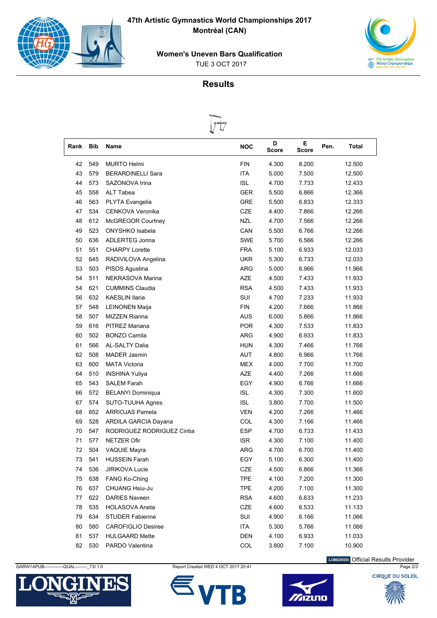

**47th Artistic Gymnastics World Championships 2017 Montréal (CAN)**





## **Results**



| Rank | <b>Bib</b> | Name                       | <b>NOC</b> | D<br>Score | Е<br>Score | Pen.<br>Total |
|------|------------|----------------------------|------------|------------|------------|---------------|
| 42   | 549        | <b>MURTO Helmi</b>         | <b>FIN</b> | 4.300      | 8.200      | 12.500        |
| 43   | 579        | <b>BERARDINELLI Sara</b>   | <b>ITA</b> | 5.000      | 7.500      | 12.500        |
| 44   | 573        | SAZONOVA Irina             | <b>ISL</b> | 4.700      | 7.733      | 12.433        |
| 45   | 558        | ALT Tabea                  | <b>GER</b> | 5.500      | 6.866      | 12.366        |
| 46   | 563        | PLYTA Evangelia            | <b>GRE</b> | 5.500      | 6.833      | 12.333        |
| 47   | 534        | CENKOVA Veronika           | <b>CZE</b> | 4.400      | 7.866      | 12.266        |
| 48   | 612        | <b>McGREGOR Courtney</b>   | <b>NZL</b> | 4.700      | 7.566      | 12.266        |
| 49   | 523        | ONYSHKO Isabela            | CAN        | 5.500      | 6.766      | 12.266        |
| 50   | 636        | ADLERTEG Jonna             | <b>SWE</b> | 5.700      | 6.566      | 12.266        |
| 51   | 551        | <b>CHARPY Lorette</b>      | <b>FRA</b> | 5.100      | 6.933      | 12.033        |
| 52   | 645        | RADIVILOVA Angelina        | <b>UKR</b> | 5.300      | 6.733      | 12.033        |
| 53   | 503        | PISOS Agustina             | <b>ARG</b> | 5.000      | 6.966      | 11.966        |
| 54   | 511        | NEKRASOVA Marina           | <b>AZE</b> | 4.500      | 7.433      | 11.933        |
| 54   | 621        | <b>CUMMINS Claudia</b>     | <b>RSA</b> | 4.500      | 7.433      | 11.933        |
| 56   | 632        | <b>KAESLIN Ilaria</b>      | SUI        | 4.700      | 7.233      | 11.933        |
| 57   | 548        | <b>LEINONEN Maija</b>      | <b>FIN</b> | 4.200      | 7.666      | 11.866        |
| 58   | 507        | MIZZEN Rianna              | <b>AUS</b> | 6.000      | 5.866      | 11.866        |
| 59   | 616        | PITREZ Mariana             | <b>POR</b> | 4.300      | 7.533      | 11.833        |
| 60   | 502        | <b>BONZO Camila</b>        | <b>ARG</b> | 4.900      | 6.933      | 11.833        |
| 61   | 566        | <b>AL-SALTY Dalia</b>      | <b>HUN</b> | 4.300      | 7.466      | 11.766        |
| 62   | 508        | <b>MADER Jasmin</b>        | <b>AUT</b> | 4.800      | 6.966      | 11.766        |
| 63   | 600        | <b>MATA Victoria</b>       | <b>MEX</b> | 4.000      | 7.700      | 11.700        |
| 64   | 510        | <b>INSHINA Yuliya</b>      | <b>AZE</b> | 4.400      | 7.266      | 11.666        |
| 65   | 543        | <b>SALEM Farah</b>         | EGY        | 4.900      | 6.766      | 11.666        |
| 66   | 572        | <b>BELANYI Dominiqua</b>   | <b>ISL</b> | 4.300      | 7.300      | 11.600        |
| 67   | 574        | SUTO-TUUHA Agnes           | <b>ISL</b> | 3.800      | 7.700      | 11.500        |
| 68   | 652        | <b>ARRIOJAS Pamela</b>     | <b>VEN</b> | 4.200      | 7.266      | 11.466        |
| 69   | 528        | ARDILA GARCIA Dayana       | COL        | 4.300      | 7.166      | 11.466        |
| 70   | 547        | RODRIGUEZ RODRIGUEZ Cintia | <b>ESP</b> | 4.700      | 6.733      | 11.433        |
| 71   | 577        | <b>NETZER Ofir</b>         | <b>ISR</b> | 4.300      | 7.100      | 11.400        |
| 72   | 504        | <b>VAQUIE Mayra</b>        | <b>ARG</b> | 4.700      | 6.700      | 11.400        |
| 73   | 541        | <b>HUSSEIN Farah</b>       | EGY        | 5.100      | 6.300      | 11.400        |
| 74   | 536        | <b>JIRIKOVA Lucie</b>      | CZE        | 4.500      | 6.866      | 11.366        |
| 75   | 638        | <b>FANG Ko-Ching</b>       | <b>TPE</b> | 4.100      | 7.200      | 11.300        |
| 76   | 637        | CHUANG Hsiu-Ju             | <b>TPE</b> | 4.200      | 7.100      | 11.300        |
| 77   | 622        | <b>DARIES Naveen</b>       | <b>RSA</b> | 4.600      | 6.633      | 11.233        |
| 78   | 535        | <b>HOLASOVA Aneta</b>      | CZE        | 4.600      | 6.533      | 11.133        |
| 79   | 634        | <b>STUDER Fabienne</b>     | SUI        | 4.900      | 6.166      | 11.066        |
| 80   | 580        | <b>CAROFIGLIO Desiree</b>  | ITA        | 5.300      | 5.766      | 11.066        |
| 81   | 537        | <b>HULGAARD Mette</b>      | <b>DEN</b> | 4.100      | 6.933      | 11.033        |
| 82   | 530        | PARDO Valentina            | COL        | 3.800      | 7.100      | 10.900        |

LONGINES Official Results Provider



GARW1APUB-------------QUAL---------- 73I 1.0 Report Created WED 4 OCT 2017 20:41 Page 2/3





**CIROUE DU SOLEIL**